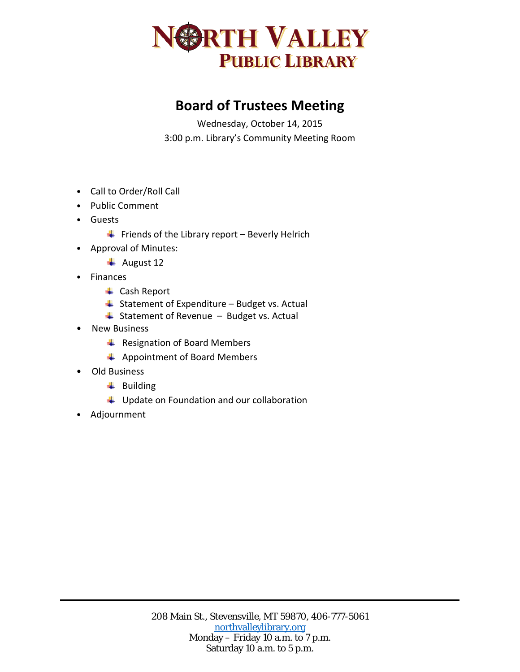

## **Board of Trustees Meeting**

Wednesday, October 14, 2015 3:00 p.m. Library's Community Meeting Room

- Call to Order/Roll Call
- Public Comment
- Guests
	- $\ddot{\phantom{1}}$  Friends of the Library report Beverly Helrich
- Approval of Minutes:
	- $\overline{\phantom{a}}$  August 12
- Finances
	- **↓** Cash Report
	- $\triangleq$  Statement of Expenditure Budget vs. Actual
	- $\overline{\phantom{a}}$  Statement of Revenue Budget vs. Actual
- New Business
	- Resignation of Board Members
	- Appointment of Board Members
- Old Business
	- $\ddot{\bullet}$  Building
	- $\downarrow$  Update on Foundation and our collaboration
- Adjournment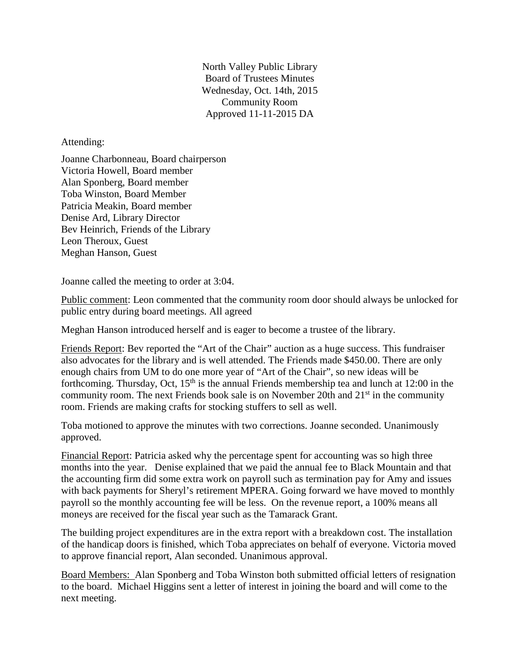North Valley Public Library Board of Trustees Minutes Wednesday, Oct. 14th, 2015 Community Room Approved 11-11-2015 DA

## Attending:

Joanne Charbonneau, Board chairperson Victoria Howell, Board member Alan Sponberg, Board member Toba Winston, Board Member Patricia Meakin, Board member Denise Ard, Library Director Bev Heinrich, Friends of the Library Leon Theroux, Guest Meghan Hanson, Guest

Joanne called the meeting to order at 3:04.

Public comment: Leon commented that the community room door should always be unlocked for public entry during board meetings. All agreed

Meghan Hanson introduced herself and is eager to become a trustee of the library.

Friends Report: Bev reported the "Art of the Chair" auction as a huge success. This fundraiser also advocates for the library and is well attended. The Friends made \$450.00. There are only enough chairs from UM to do one more year of "Art of the Chair", so new ideas will be forthcoming. Thursday, Oct,  $15<sup>th</sup>$  is the annual Friends membership tea and lunch at 12:00 in the community room. The next Friends book sale is on November 20th and  $21<sup>st</sup>$  in the community room. Friends are making crafts for stocking stuffers to sell as well.

Toba motioned to approve the minutes with two corrections. Joanne seconded. Unanimously approved.

Financial Report: Patricia asked why the percentage spent for accounting was so high three months into the year. Denise explained that we paid the annual fee to Black Mountain and that the accounting firm did some extra work on payroll such as termination pay for Amy and issues with back payments for Sheryl's retirement MPERA. Going forward we have moved to monthly payroll so the monthly accounting fee will be less. On the revenue report, a 100% means all moneys are received for the fiscal year such as the Tamarack Grant.

The building project expenditures are in the extra report with a breakdown cost. The installation of the handicap doors is finished, which Toba appreciates on behalf of everyone. Victoria moved to approve financial report, Alan seconded. Unanimous approval.

Board Members: Alan Sponberg and Toba Winston both submitted official letters of resignation to the board. Michael Higgins sent a letter of interest in joining the board and will come to the next meeting.